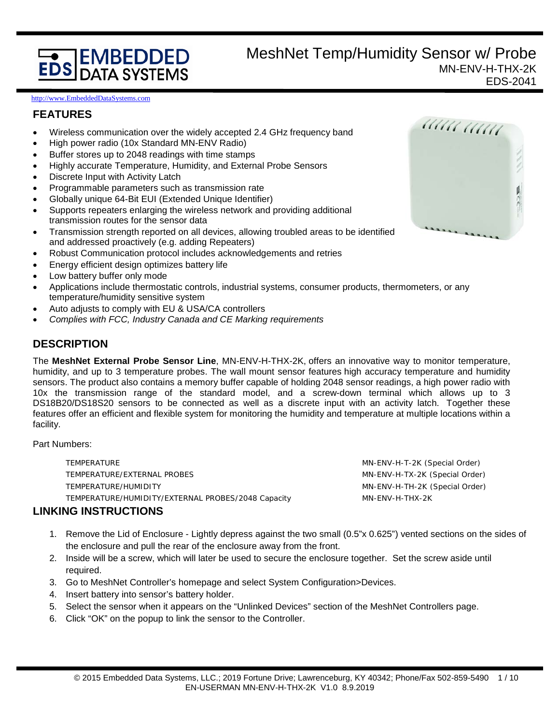# **EDS DATA SYSTEMS**

## MeshNet Temp/Humidity Sensor w/ Probe MN-ENV-H-THX-2K EDS-2041

[http://www.EmbeddedDataSystems.com](http://www.embeddeddatasystems.com/)

## **FEATURES**

- Wireless communication over the widely accepted 2.4 GHz frequency band
- High power radio (10x Standard MN-ENV Radio)
- Buffer stores up to 2048 readings with time stamps
- Highly accurate Temperature, Humidity, and External Probe Sensors
- Discrete Input with Activity Latch
- Programmable parameters such as transmission rate
- Globally unique 64-Bit EUI (Extended Unique Identifier)
- Supports repeaters enlarging the wireless network and providing additional transmission routes for the sensor data
- Transmission strength reported on all devices, allowing troubled areas to be identified and addressed proactively (e.g. adding Repeaters)
- Robust Communication protocol includes acknowledgements and retries
- Energy efficient design optimizes battery life
- Low battery buffer only mode
- Applications include thermostatic controls, industrial systems, consumer products, thermometers, or any temperature/humidity sensitive system
- Auto adjusts to comply with EU & USA/CA controllers
- *Complies with FCC, Industry Canada and CE Marking requirements*

## **DESCRIPTION**

The **MeshNet External Probe Sensor Line**, MN-ENV-H-THX-2K, offers an innovative way to monitor temperature, humidity, and up to 3 temperature probes. The wall mount sensor features high accuracy temperature and humidity sensors. The product also contains a memory buffer capable of holding 2048 sensor readings, a high power radio with 10x the transmission range of the standard model, and a screw-down terminal which allows up to 3 DS18B20/DS18S20 sensors to be connected as well as a discrete input with an activity latch. Together these features offer an efficient and flexible system for monitoring the humidity and temperature at multiple locations within a facility.

Part Numbers:

TEMPERATURE TEMPERATURE TEMPERATURE MIN-ENV-H-T-2K (Special Order) TEMPERATURE/EXTERNAL PROBES TEMPERATURE IN A SERVER SERVICE OF A SERVICE ORDER MN-ENV-H-TX-2K (Special Order) TEMPERATURE/HUMIDITY **MULLA CONSTRUCTED ASSESSED ASSESSED** MULLA MULLA MULLA CONSTRUCTED MESSENGER ORDER THAN A ST TEMPERATURE/HUMIDITY/EXTERNAL PROBES/2048 Capacity MN-ENV-H-THX-2K

## **LINKING INSTRUCTIONS**

- 1. Remove the Lid of Enclosure Lightly depress against the two small (0.5"x 0.625") vented sections on the sides of the enclosure and pull the rear of the enclosure away from the front.
- 2. Inside will be a screw, which will later be used to secure the enclosure together. Set the screw aside until required.
- 3. Go to MeshNet Controller's homepage and select System Configuration>Devices.
- 4. Insert battery into sensor's battery holder.
- 5. Select the sensor when it appears on the "Unlinked Devices" section of the MeshNet Controllers page.
- 6. Click "OK" on the popup to link the sensor to the Controller.

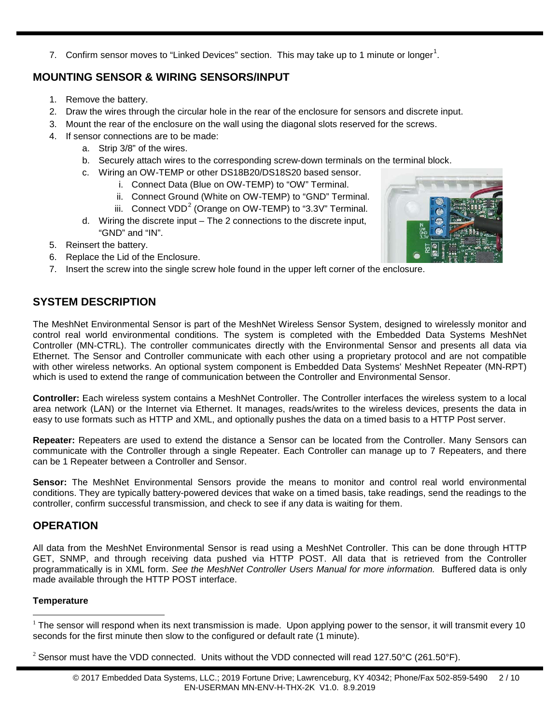7. Confirm sensor moves to "Linked Devices" section. This may take up to [1](#page-1-0) minute or longer<sup>1</sup>.

## **MOUNTING SENSOR & WIRING SENSORS/INPUT**

- 1. Remove the battery.
- 2. Draw the wires through the circular hole in the rear of the enclosure for sensors and discrete input.
- 3. Mount the rear of the enclosure on the wall using the diagonal slots reserved for the screws.
- 4. If sensor connections are to be made:
	- a. Strip 3/8" of the wires.
	- b. Securely attach wires to the corresponding screw-down terminals on the terminal block.
	- c. Wiring an OW-TEMP or other DS18B20/DS18S20 based sensor.
		- i. Connect Data (Blue on OW-TEMP) to "OW" Terminal.
		- ii. Connect Ground (White on OW-TEMP) to "GND" Terminal.
		- iii. Connect VDD<sup>[2](#page-1-1)</sup> (Orange on OW-TEMP) to "3.3V" Terminal.
	- d. Wiring the discrete input The 2 connections to the discrete input, "GND" and "IN".
- 5. Reinsert the battery.
- 6. Replace the Lid of the Enclosure.
- 7. Insert the screw into the single screw hole found in the upper left corner of the enclosure.

## **SYSTEM DESCRIPTION**

The MeshNet Environmental Sensor is part of the MeshNet Wireless Sensor System, designed to wirelessly monitor and control real world environmental conditions. The system is completed with the Embedded Data Systems MeshNet Controller (MN-CTRL). The controller communicates directly with the Environmental Sensor and presents all data via Ethernet. The Sensor and Controller communicate with each other using a proprietary protocol and are not compatible with other wireless networks. An optional system component is Embedded Data Systems' MeshNet Repeater (MN-RPT) which is used to extend the range of communication between the Controller and Environmental Sensor.

**Controller:** Each wireless system contains a MeshNet Controller. The Controller interfaces the wireless system to a local area network (LAN) or the Internet via Ethernet. It manages, reads/writes to the wireless devices, presents the data in easy to use formats such as HTTP and XML, and optionally pushes the data on a timed basis to a HTTP Post server.

**Repeater:** Repeaters are used to extend the distance a Sensor can be located from the Controller. Many Sensors can communicate with the Controller through a single Repeater. Each Controller can manage up to 7 Repeaters, and there can be 1 Repeater between a Controller and Sensor.

**Sensor:** The MeshNet Environmental Sensors provide the means to monitor and control real world environmental conditions. They are typically battery-powered devices that wake on a timed basis, take readings, send the readings to the controller, confirm successful transmission, and check to see if any data is waiting for them.

## **OPERATION**

All data from the MeshNet Environmental Sensor is read using a MeshNet Controller. This can be done through HTTP GET, SNMP, and through receiving data pushed via HTTP POST. All data that is retrieved from the Controller programmatically is in XML form. *See the MeshNet Controller Users Manual for more information.* Buffered data is only made available through the HTTP POST interface.

## **Temperature**



<span id="page-1-0"></span> $1$  The sensor will respond when its next transmission is made. Upon applying power to the sensor, it will transmit every 10 seconds for the first minute then slow to the configured or default rate (1 minute).  $\overline{a}$ 

<span id="page-1-1"></span><sup>&</sup>lt;sup>2</sup> Sensor must have the VDD connected. Units without the VDD connected will read 127.50°C (261.50°F).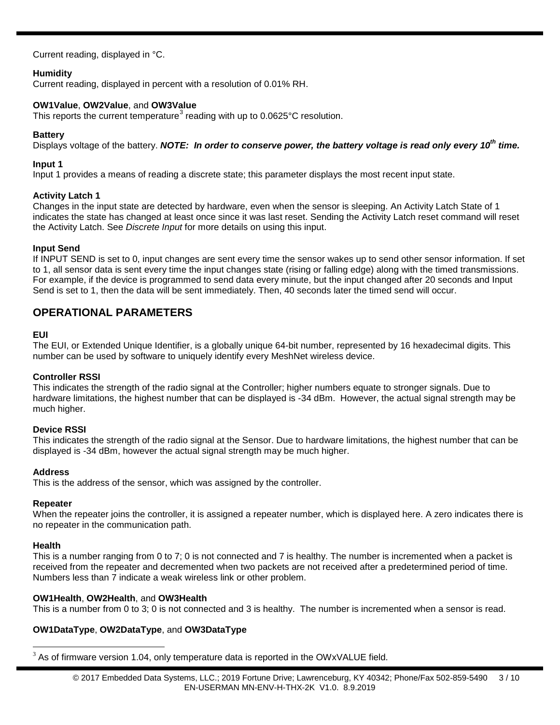Current reading, displayed in °C.

## **Humidity**

Current reading, displayed in percent with a resolution of 0.01% RH.

#### **OW1Value**, **OW2Value**, and **OW3Value**

This reports the current temperature<sup>[3](#page-2-0)</sup> reading with up to  $0.0625^{\circ}$ C resolution.

#### **Battery**

Displays voltage of the battery. *NOTE: In order to conserve power, the battery voltage is read only every 10<sup>th</sup> time.* 

#### **Input 1**

Input 1 provides a means of reading a discrete state; this parameter displays the most recent input state.

#### **Activity Latch 1**

Changes in the input state are detected by hardware, even when the sensor is sleeping. An Activity Latch State of 1 indicates the state has changed at least once since it was last reset. Sending the Activity Latch reset command will reset the Activity Latch. See *Discrete Input* for more details on using this input.

#### **Input Send**

If INPUT SEND is set to 0, input changes are sent every time the sensor wakes up to send other sensor information. If set to 1, all sensor data is sent every time the input changes state (rising or falling edge) along with the timed transmissions. For example, if the device is programmed to send data every minute, but the input changed after 20 seconds and Input Send is set to 1, then the data will be sent immediately. Then, 40 seconds later the timed send will occur.

## **OPERATIONAL PARAMETERS**

#### **EUI**

The EUI, or Extended Unique Identifier, is a globally unique 64-bit number, represented by 16 hexadecimal digits. This number can be used by software to uniquely identify every MeshNet wireless device.

#### **Controller RSSI**

This indicates the strength of the radio signal at the Controller; higher numbers equate to stronger signals. Due to hardware limitations, the highest number that can be displayed is -34 dBm. However, the actual signal strength may be much higher.

## **Device RSSI**

This indicates the strength of the radio signal at the Sensor. Due to hardware limitations, the highest number that can be displayed is -34 dBm, however the actual signal strength may be much higher.

#### **Address**

This is the address of the sensor, which was assigned by the controller.

#### **Repeater**

When the repeater joins the controller, it is assigned a repeater number, which is displayed here. A zero indicates there is no repeater in the communication path.

#### **Health**

This is a number ranging from 0 to 7; 0 is not connected and 7 is healthy. The number is incremented when a packet is received from the repeater and decremented when two packets are not received after a predetermined period of time. Numbers less than 7 indicate a weak wireless link or other problem.

## **OW1Health**, **OW2Health**, and **OW3Health**

This is a number from 0 to 3; 0 is not connected and 3 is healthy. The number is incremented when a sensor is read.

## **OW1DataType**, **OW2DataType**, and **OW3DataType**

<span id="page-2-0"></span> $3$  As of firmware version 1.04, only temperature data is reported in the OWxVALUE field.  $\overline{a}$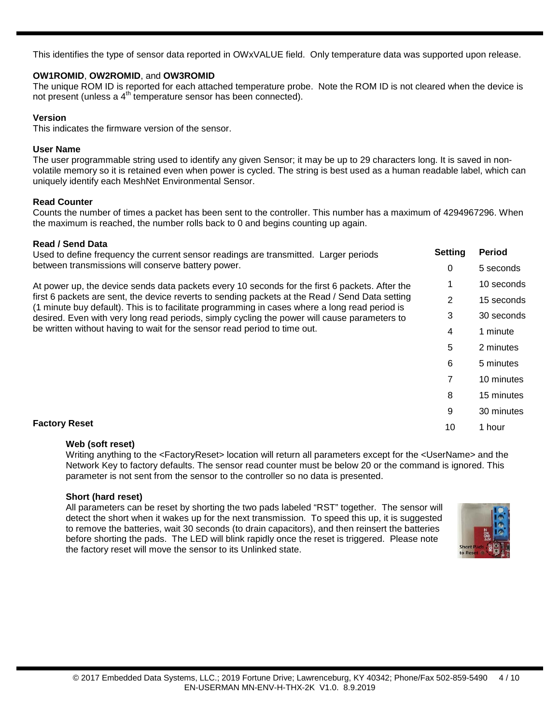This identifies the type of sensor data reported in OWxVALUE field. Only temperature data was supported upon release.

## **OW1ROMID**, **OW2ROMID**, and **OW3ROMID**

The unique ROM ID is reported for each attached temperature probe. Note the ROM ID is not cleared when the device is not present (unless a 4<sup>th</sup> temperature sensor has been connected).

#### **Version**

This indicates the firmware version of the sensor.

#### **User Name**

The user programmable string used to identify any given Sensor; it may be up to 29 characters long. It is saved in nonvolatile memory so it is retained even when power is cycled. The string is best used as a human readable label, which can uniquely identify each MeshNet Environmental Sensor.

## **Read Counter**

Counts the number of times a packet has been sent to the controller. This number has a maximum of 4294967296. When the maximum is reached, the number rolls back to 0 and begins counting up again.

#### **Read / Send Data**

| Used to define frequency the current sensor readings are transmitted. Larger periods                                                                                                              | <b>Setting</b> | <b>Period</b> |
|---------------------------------------------------------------------------------------------------------------------------------------------------------------------------------------------------|----------------|---------------|
| between transmissions will conserve battery power.                                                                                                                                                | 0              | 5 seconds     |
| At power up, the device sends data packets every 10 seconds for the first 6 packets. After the                                                                                                    |                | 10 seconds    |
| first 6 packets are sent, the device reverts to sending packets at the Read / Send Data setting<br>(1 minute buy default). This is to facilitate programming in cases where a long read period is | 2              | 15 seconds    |
| desired. Even with very long read periods, simply cycling the power will cause parameters to<br>be written without having to wait for the sensor read period to time out.                         | 3              | 30 seconds    |
|                                                                                                                                                                                                   | 4              | 1 minute      |
|                                                                                                                                                                                                   | 5              | 2 minutes     |
|                                                                                                                                                                                                   | 6              | 5 minutes     |
|                                                                                                                                                                                                   |                | 10 minutes    |
|                                                                                                                                                                                                   | 8              | 15 minutes    |
|                                                                                                                                                                                                   | 9              | 30 minutes    |
| <b>Factory Reset</b>                                                                                                                                                                              | 10             | 1 hour        |
|                                                                                                                                                                                                   |                |               |

#### **Web (soft reset)**

Writing anything to the <FactoryReset> location will return all parameters except for the <UserName> and the Network Key to factory defaults. The sensor read counter must be below 20 or the command is ignored. This parameter is not sent from the sensor to the controller so no data is presented.

## **Short (hard reset)**

All parameters can be reset by shorting the two pads labeled "RST" together. The sensor will detect the short when it wakes up for the next transmission. To speed this up, it is suggested to remove the batteries, wait 30 seconds (to drain capacitors), and then reinsert the batteries before shorting the pads. The LED will blink rapidly once the reset is triggered. Please note the factory reset will move the sensor to its Unlinked state.

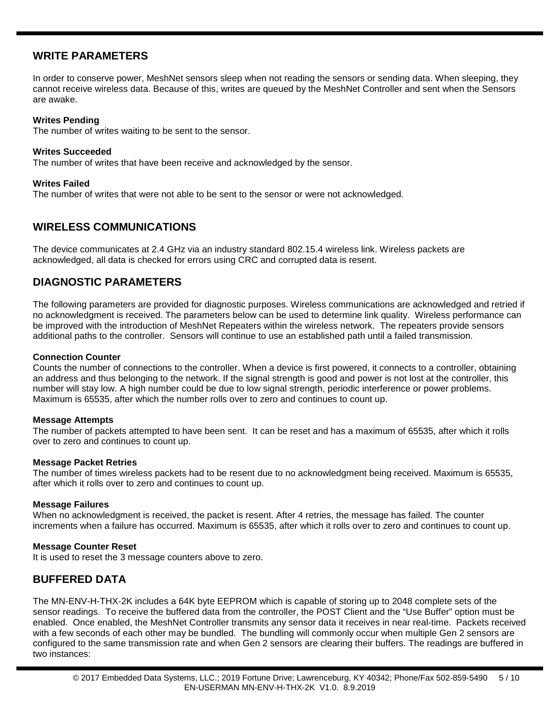## **WRITE PARAMETERS**

In order to conserve power, MeshNet sensors sleep when not reading the sensors or sending data. When sleeping, they cannot receive wireless data. Because of this, writes are queued by the MeshNet Controller and sent when the Sensors are awake.

#### **Writes Pending**

The number of writes waiting to be sent to the sensor.

#### **Writes Succeeded**

The number of writes that have been receive and acknowledged by the sensor.

#### **Writes Failed**

The number of writes that were not able to be sent to the sensor or were not acknowledged.

## **WIRELESS COMMUNICATIONS**

The device communicates at 2.4 GHz via an industry standard 802.15.4 wireless link. Wireless packets are acknowledged, all data is checked for errors using CRC and corrupted data is resent.

## **DIAGNOSTIC PARAMETERS**

The following parameters are provided for diagnostic purposes. Wireless communications are acknowledged and retried if no acknowledgment is received. The parameters below can be used to determine link quality. Wireless performance can be improved with the introduction of MeshNet Repeaters within the wireless network. The repeaters provide sensors additional paths to the controller. Sensors will continue to use an established path until a failed transmission.

#### **Connection Counter**

Counts the number of connections to the controller. When a device is first powered, it connects to a controller, obtaining an address and thus belonging to the network. If the signal strength is good and power is not lost at the controller, this number will stay low. A high number could be due to low signal strength, periodic interference or power problems. Maximum is 65535, after which the number rolls over to zero and continues to count up.

#### **Message Attempts**

The number of packets attempted to have been sent. It can be reset and has a maximum of 65535, after which it rolls over to zero and continues to count up.

#### **Message Packet Retries**

The number of times wireless packets had to be resent due to no acknowledgment being received. Maximum is 65535, after which it rolls over to zero and continues to count up.

## **Message Failures**

When no acknowledgment is received, the packet is resent. After 4 retries, the message has failed. The counter increments when a failure has occurred. Maximum is 65535, after which it rolls over to zero and continues to count up.

## **Message Counter Reset**

It is used to reset the 3 message counters above to zero.

## **BUFFERED DATA**

The MN-ENV-H-THX-2K includes a 64K byte EEPROM which is capable of storing up to 2048 complete sets of the sensor readings. To receive the buffered data from the controller, the POST Client and the "Use Buffer" option must be enabled. Once enabled, the MeshNet Controller transmits any sensor data it receives in near real-time. Packets received with a few seconds of each other may be bundled. The bundling will commonly occur when multiple Gen 2 sensors are configured to the same transmission rate and when Gen 2 sensors are clearing their buffers. The readings are buffered in two instances: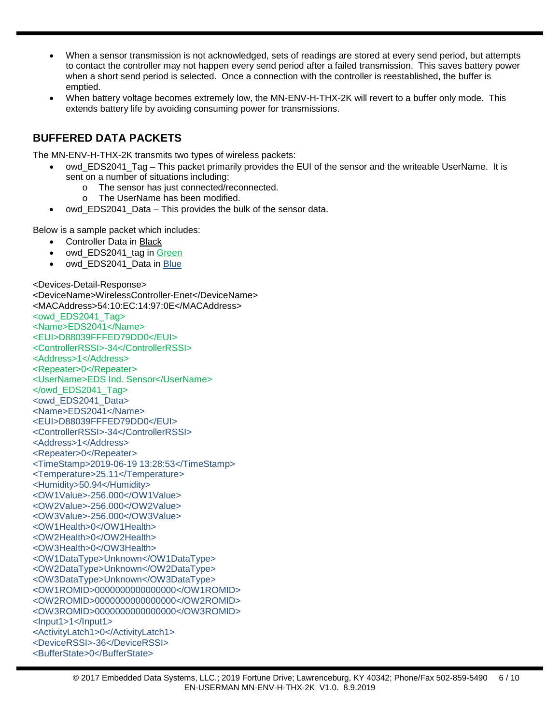- When a sensor transmission is not acknowledged, sets of readings are stored at every send period, but attempts to contact the controller may not happen every send period after a failed transmission. This saves battery power when a short send period is selected. Once a connection with the controller is reestablished, the buffer is emptied.
- When battery voltage becomes extremely low, the MN-ENV-H-THX-2K will revert to a buffer only mode. This extends battery life by avoiding consuming power for transmissions.

## **BUFFERED DATA PACKETS**

The MN-ENV-H-THX-2K transmits two types of wireless packets:

- owd\_EDS2041\_Tag This packet primarily provides the EUI of the sensor and the writeable UserName. It is sent on a number of situations including:
	- $\circ$  The sensor has just connected/reconnected.<br> $\circ$  The UserName has been modified.
	- The UserName has been modified.
- owd EDS2041 Data This provides the bulk of the sensor data.

Below is a sample packet which includes:

- Controller Data in Black
- owd\_EDS2041\_tag in Green
- owd EDS2041 Data in Blue

<Devices-Detail-Response> <DeviceName>WirelessController-Enet</DeviceName> <MACAddress>54:10:EC:14:97:0E</MACAddress> <owd\_EDS2041\_Tag> <Name>EDS2041</Name> <EUI>D88039FFFED79DD0</EUI> <ControllerRSSI>-34</ControllerRSSI> <Address>1</Address> <Repeater>0</Repeater> <UserName>EDS Ind. Sensor</UserName> </owd\_EDS2041\_Tag> <owd\_EDS2041\_Data> <Name>EDS2041</Name> <EUI>D88039FFFED79DD0</EUI> <ControllerRSSI>-34</ControllerRSSI> <Address>1</Address> <Repeater>0</Repeater> <TimeStamp>2019-06-19 13:28:53</TimeStamp> <Temperature>25.11</Temperature> <Humidity>50.94</Humidity> <OW1Value>-256.000</OW1Value> <OW2Value>-256.000</OW2Value> <OW3Value>-256.000</OW3Value> <OW1Health>0</OW1Health> <OW2Health>0</OW2Health> <OW3Health>0</OW3Health> <OW1DataType>Unknown</OW1DataType> <OW2DataType>Unknown</OW2DataType> <OW3DataType>Unknown</OW3DataType> <OW1ROMID>0000000000000000</OW1ROMID> <OW2ROMID>0000000000000000</OW2ROMID> <OW3ROMID>0000000000000000</OW3ROMID> <Input1>1</Input1> <ActivityLatch1>0</ActivityLatch1> <DeviceRSSI>-36</DeviceRSSI> <BufferState>0</BufferState>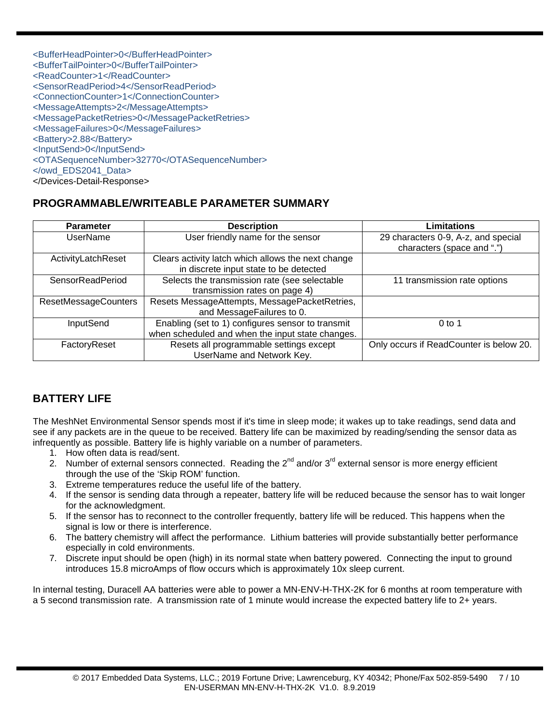| <bufferheadpointer>0</bufferheadpointer>       |
|------------------------------------------------|
| <buffertailpointer>0</buffertailpointer>       |
| <readcounter>1</readcounter>                   |
| <sensorreadperiod>4</sensorreadperiod>         |
| <connectioncounter>1</connectioncounter>       |
| <messageattempts>2</messageattempts>           |
| <messagepacketretries>0</messagepacketretries> |
| <messagefailures>0</messagefailures>           |
| <battery>2.88</battery>                        |
| <inputsend>0</inputsend>                       |
| <otasequencenumber>32770</otasequencenumber>   |
|                                                |
|                                                |

## **PROGRAMMABLE/WRITEABLE PARAMETER SUMMARY**

| <b>Parameter</b>            | <b>Description</b>                                                                                    | Limitations                                                       |
|-----------------------------|-------------------------------------------------------------------------------------------------------|-------------------------------------------------------------------|
| <b>UserName</b>             | User friendly name for the sensor                                                                     | 29 characters 0-9, A-z, and special<br>characters (space and ".") |
| ActivityLatchReset          | Clears activity latch which allows the next change<br>in discrete input state to be detected          |                                                                   |
| SensorReadPeriod            | Selects the transmission rate (see selectable<br>transmission rates on page 4)                        | 11 transmission rate options                                      |
| <b>ResetMessageCounters</b> | Resets MessageAttempts, MessagePacketRetries,<br>and MessageFailures to 0.                            |                                                                   |
| InputSend                   | Enabling (set to 1) configures sensor to transmit<br>when scheduled and when the input state changes. | $0$ to 1                                                          |
| FactoryReset                | Resets all programmable settings except<br>UserName and Network Key.                                  | Only occurs if ReadCounter is below 20.                           |

## **BATTERY LIFE**

The MeshNet Environmental Sensor spends most if it's time in sleep mode; it wakes up to take readings, send data and see if any packets are in the queue to be received. Battery life can be maximized by reading/sending the sensor data as infrequently as possible. Battery life is highly variable on a number of parameters.

- 1. How often data is read/sent.
- 2. Number of external sensors connected. Reading the  $2^{nd}$  and/or  $3^{rd}$  external sensor is more energy efficient through the use of the 'Skip ROM' function.
- 3. Extreme temperatures reduce the useful life of the battery.
- 4. If the sensor is sending data through a repeater, battery life will be reduced because the sensor has to wait longer for the acknowledgment.
- 5. If the sensor has to reconnect to the controller frequently, battery life will be reduced. This happens when the signal is low or there is interference.
- 6. The battery chemistry will affect the performance. Lithium batteries will provide substantially better performance especially in cold environments.
- 7. Discrete input should be open (high) in its normal state when battery powered. Connecting the input to ground introduces 15.8 microAmps of flow occurs which is approximately 10x sleep current.

In internal testing, Duracell AA batteries were able to power a MN-ENV-H-THX-2K for 6 months at room temperature with a 5 second transmission rate. A transmission rate of 1 minute would increase the expected battery life to 2+ years.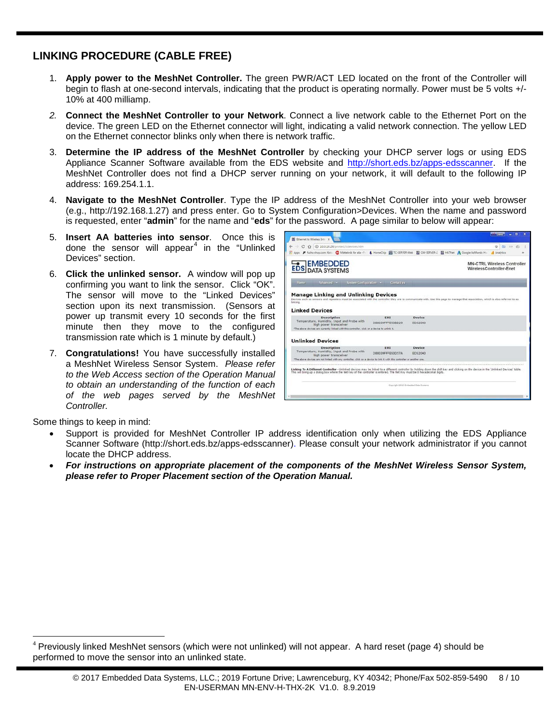## **LINKING PROCEDURE (CABLE FREE)**

- 1. **Apply power to the MeshNet Controller.** The green PWR/ACT LED located on the front of the Controller will begin to flash at one-second intervals, indicating that the product is operating normally. Power must be 5 volts +/- 10% at 400 milliamp.
- *2.* **Connect the MeshNet Controller to your Network**. Connect a live network cable to the Ethernet Port on the device. The green LED on the Ethernet connector will light, indicating a valid network connection. The yellow LED on the Ethernet connector blinks only when there is network traffic.
- 3. **Determine the IP address of the MeshNet Controller** by checking your DHCP server logs or using EDS Appliance Scanner Software available from the EDS website and [http://short.eds.bz/apps-edsscanner.](http://short.eds.bz/apps-edsscanner) If the MeshNet Controller does not find a DHCP server running on your network, it will default to the following IP address: 169.254.1.1.
- 4. **Navigate to the MeshNet Controller**. Type the IP address of the MeshNet Controller into your web browser (e.g., http://192.168.1.27) and press enter. Go to System Configuration>Devices. When the name and password is requested, enter "**admin**" for the name and "**eds**" for the password. A page similar to below will appear:
- 5. **Insert AA batteries into sensor**. Once this is done the sensor will appear<sup>[4](#page-7-0)</sup> in the "Unlinked" Devices" section.
- 6. **Click the unlinked sensor.** A window will pop up confirming you want to link the sensor. Click "OK". The sensor will move to the "Linked Devices" section upon its next transmission. (Sensors at power up transmit every 10 seconds for the first minute then they move to the configured transmission rate which is 1 minute by default.)
- 7. **Congratulations!** You have successfully installed a MeshNet Wireless Sensor System. *Please refer to the Web Access section of the Operation Manual to obtain an understanding of the function of each of the web pages served by the MeshNet Controller.*

|                  |                                                                                                                                                                                                       |                          | <b>David</b> | ۰                                                                                                                                                                                                                                                                                                                                         |
|------------------|-------------------------------------------------------------------------------------------------------------------------------------------------------------------------------------------------------|--------------------------|--------------|-------------------------------------------------------------------------------------------------------------------------------------------------------------------------------------------------------------------------------------------------------------------------------------------------------------------------------------------|
|                  |                                                                                                                                                                                                       |                          |              |                                                                                                                                                                                                                                                                                                                                           |
|                  |                                                                                                                                                                                                       |                          | m<br>÷       | - 6<br><b>TOW</b>                                                                                                                                                                                                                                                                                                                         |
|                  |                                                                                                                                                                                                       |                          |              |                                                                                                                                                                                                                                                                                                                                           |
|                  |                                                                                                                                                                                                       |                          |              |                                                                                                                                                                                                                                                                                                                                           |
| Contact us:      |                                                                                                                                                                                                       |                          |              |                                                                                                                                                                                                                                                                                                                                           |
|                  |                                                                                                                                                                                                       |                          |              |                                                                                                                                                                                                                                                                                                                                           |
| EUI              |                                                                                                                                                                                                       |                          |              |                                                                                                                                                                                                                                                                                                                                           |
|                  |                                                                                                                                                                                                       |                          |              |                                                                                                                                                                                                                                                                                                                                           |
|                  |                                                                                                                                                                                                       |                          |              |                                                                                                                                                                                                                                                                                                                                           |
|                  |                                                                                                                                                                                                       |                          |              |                                                                                                                                                                                                                                                                                                                                           |
|                  |                                                                                                                                                                                                       |                          |              |                                                                                                                                                                                                                                                                                                                                           |
| EUI              | Device                                                                                                                                                                                                |                          |              |                                                                                                                                                                                                                                                                                                                                           |
| DRB039FFFF93D57A | <b>EDS2040</b>                                                                                                                                                                                        |                          |              |                                                                                                                                                                                                                                                                                                                                           |
|                  | Advanced - System Configuration -<br><b>Manage Linking and Unlinking Devices</b><br>DRA039FFFF93RD29<br>"The above devices are currently linked with this controller, click on a device to writek it. | Device<br><b>EDS2040</b> |              | & HomeChip B TC-SERVER-Web ED OW-SERVER-2 ED HATNet A Google AdWords H  A Analytics<br><b>MN-CTRL Wireless Controller</b><br>WirelessController-Enet<br>Devices such as sensors and repeaters must be associated with the controller they are to communicate with. Use this page to manage that association, which is also referred to as |

Some things to keep in mind:

 $\overline{a}$ 

- Support is provided for MeshNet Controller IP address identification only when utilizing the EDS Appliance Scanner Software (http://short.eds.bz/apps-edsscanner). Please consult your network administrator if you cannot locate the DHCP address.
- *For instructions on appropriate placement of the components of the MeshNet Wireless Sensor System, please refer to Proper Placement section of the Operation Manual.*

<span id="page-7-0"></span><sup>4</sup> Previously linked MeshNet sensors (which were not unlinked) will not appear. A hard reset (page 4) should be performed to move the sensor into an unlinked state.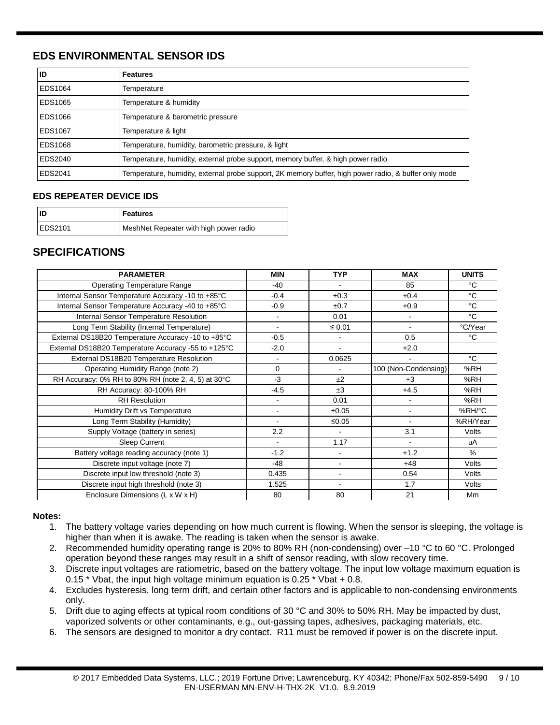## **EDS ENVIRONMENTAL SENSOR IDS**

| ID             | <b>Features</b>                                                                                       |
|----------------|-------------------------------------------------------------------------------------------------------|
| EDS1064        | Temperature                                                                                           |
| EDS1065        | Temperature & humidity                                                                                |
| EDS1066        | Temperature & barometric pressure                                                                     |
| <b>EDS1067</b> | Temperature & light                                                                                   |
| EDS1068        | Temperature, humidity, barometric pressure, & light                                                   |
| EDS2040        | Temperature, humidity, external probe support, memory buffer, & high power radio                      |
| EDS2041        | Temperature, humidity, external probe support, 2K memory buffer, high power radio, & buffer only mode |

## **EDS REPEATER DEVICE IDS**

| l ID           | <b>Features</b>                        |
|----------------|----------------------------------------|
| <b>EDS2101</b> | MeshNet Repeater with high power radio |

## **SPECIFICATIONS**

| <b>PARAMETER</b>                                    | <b>MIN</b>       | <b>TYP</b>     | <b>MAX</b>           | <b>UNITS</b> |
|-----------------------------------------------------|------------------|----------------|----------------------|--------------|
| <b>Operating Temperature Range</b>                  | $-40$            | $\blacksquare$ | 85                   | °C           |
| Internal Sensor Temperature Accuracy -10 to +85°C   | $-0.4$           | ±0.3           | $+0.4$               | °C           |
| Internal Sensor Temperature Accuracy -40 to +85°C   | $-0.9$           | ±0.7           | $+0.9$               | °C           |
| Internal Sensor Temperature Resolution              |                  | 0.01           | $\blacksquare$       | $^{\circ}C$  |
| Long Term Stability (Internal Temperature)          |                  | $\leq 0.01$    | $\blacksquare$       | °C/Year      |
| External DS18B20 Temperature Accuracy -10 to +85°C  | $-0.5$           | $\blacksquare$ | 0.5                  | °C           |
| External DS18B20 Temperature Accuracy -55 to +125°C | $-2.0$           | $\blacksquare$ | $+2.0$               |              |
| External DS18B20 Temperature Resolution             |                  | 0.0625         |                      | °C           |
| Operating Humidity Range (note 2)                   | $\Omega$         | $\blacksquare$ | 100 (Non-Condensing) | %RH          |
| RH Accuracy: 0% RH to 80% RH (note 2, 4, 5) at 30°C | $-3$             | ±2             | $+3$                 | %RH          |
| RH Accuracy: 80-100% RH                             | $-4.5$           | ±3             | $+4.5$               | %RH          |
| <b>RH</b> Resolution                                | $\blacksquare$   | 0.01           | $\blacksquare$       | %RH          |
| Humidity Drift vs Temperature                       |                  | ±0.05          | ۰                    | %RH/°C       |
| Long Term Stability (Humidity)                      |                  | ≤0.05          |                      | %RH/Year     |
| Supply Voltage (battery in series)                  | $2.2\phantom{0}$ |                | 3.1                  | Volts        |
| Sleep Current                                       | $\blacksquare$   | 1.17           |                      | uA           |
| Battery voltage reading accuracy (note 1)           | $-1.2$           | $\blacksquare$ | $+1.2$               | %            |
| Discrete input voltage (note 7)                     | -48              | ٠              | $+48$                | Volts        |
| Discrete input low threshold (note 3)               | 0.435            | ۰              | 0.54                 | Volts        |
| Discrete input high threshold (note 3)              | 1.525            | ۰              | 1.7                  | Volts        |
| Enclosure Dimensions (L x W x H)                    | 80               | 80             | 21                   | Mm           |

## **Notes:**

- 1. The battery voltage varies depending on how much current is flowing. When the sensor is sleeping, the voltage is higher than when it is awake. The reading is taken when the sensor is awake.
- 2. Recommended humidity operating range is 20% to 80% RH (non-condensing) over –10 °C to 60 °C. Prolonged operation beyond these ranges may result in a shift of sensor reading, with slow recovery time.
- 3. Discrete input voltages are ratiometric, based on the battery voltage. The input low voltage maximum equation is 0.15 \* Vbat, the input high voltage minimum equation is 0.25 \* Vbat + 0.8.
- 4. Excludes hysteresis, long term drift, and certain other factors and is applicable to non-condensing environments only.
- 5. Drift due to aging effects at typical room conditions of 30 °C and 30% to 50% RH. May be impacted by dust, vaporized solvents or other contaminants, e.g., out-gassing tapes, adhesives, packaging materials, etc.
- 6. The sensors are designed to monitor a dry contact. R11 must be removed if power is on the discrete input.